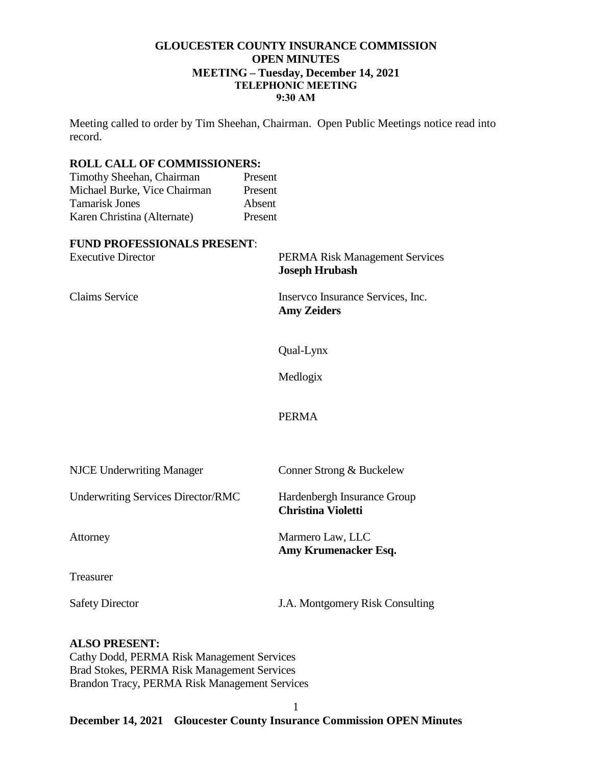### **GLOUCESTER COUNTY INSURANCE COMMISSION OPEN MINUTES MEETING – Tuesday, December 14, 2021 TELEPHONIC MEETING 9:30 AM**

Meeting called to order by Tim Sheehan, Chairman. Open Public Meetings notice read into record.

#### **ROLL CALL OF COMMISSIONERS:**

| Present |
|---------|
| Present |
| Absent  |
| Present |
|         |

#### **FUND PROFESSIONALS PRESENT**:

| <b>Experience of the conditions</b><br><b>Executive Director</b> | <b>PERMA Risk Management Services</b><br><b>Joseph Hrubash</b> |
|------------------------------------------------------------------|----------------------------------------------------------------|
| <b>Claims Service</b>                                            | Inserveo Insurance Services, Inc.<br><b>Amy Zeiders</b>        |
|                                                                  | Qual-Lynx                                                      |
|                                                                  | Medlogix                                                       |
|                                                                  | <b>PERMA</b>                                                   |
| <b>NJCE Underwriting Manager</b>                                 | Conner Strong & Buckelew                                       |
| <b>Underwriting Services Director/RMC</b>                        | Hardenbergh Insurance Group<br><b>Christina Violetti</b>       |
| Attorney                                                         | Marmero Law, LLC<br>Amy Krumenacker Esq.                       |
| Treasurer                                                        |                                                                |
| <b>Safety Director</b>                                           | J.A. Montgomery Risk Consulting                                |

### **ALSO PRESENT:** Cathy Dodd, PERMA Risk Management Services Brad Stokes, PERMA Risk Management Services Brandon Tracy, PERMA Risk Management Services

# **December 14, 2021 Gloucester County Insurance Commission OPEN Minutes**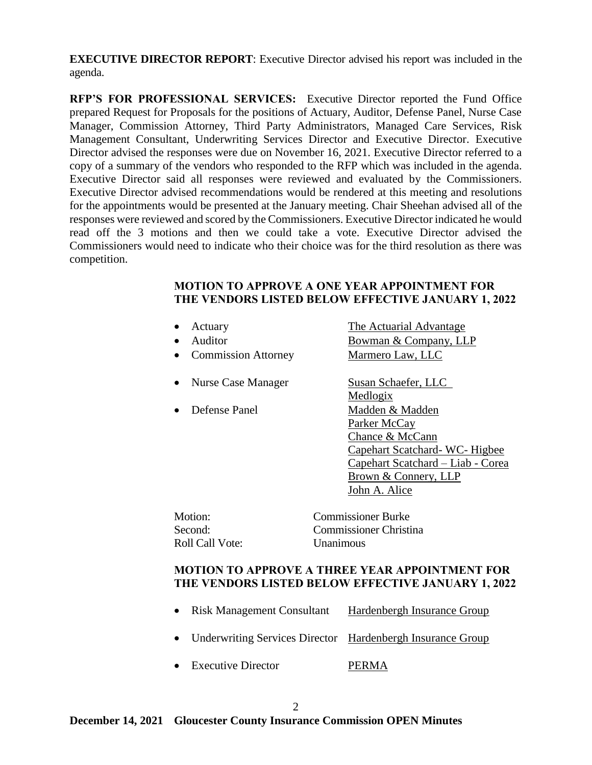**EXECUTIVE DIRECTOR REPORT**: Executive Director advised his report was included in the agenda.

**RFP'S FOR PROFESSIONAL SERVICES:** Executive Director reported the Fund Office prepared Request for Proposals for the positions of Actuary, Auditor, Defense Panel, Nurse Case Manager, Commission Attorney, Third Party Administrators, Managed Care Services, Risk Management Consultant, Underwriting Services Director and Executive Director. Executive Director advised the responses were due on November 16, 2021. Executive Director referred to a copy of a summary of the vendors who responded to the RFP which was included in the agenda. Executive Director said all responses were reviewed and evaluated by the Commissioners. Executive Director advised recommendations would be rendered at this meeting and resolutions for the appointments would be presented at the January meeting. Chair Sheehan advised all of the responses were reviewed and scored by the Commissioners. Executive Director indicated he would read off the 3 motions and then we could take a vote. Executive Director advised the Commissioners would need to indicate who their choice was for the third resolution as there was competition.

#### **MOTION TO APPROVE A ONE YEAR APPOINTMENT FOR THE VENDORS LISTED BELOW EFFECTIVE JANUARY 1, 2022**

| Actuary<br>$\bullet$<br>Auditor<br>$\bullet$<br><b>Commission Attorney</b><br>٠ | The Actuarial Advantage<br><b>Bowman &amp; Company, LLP</b><br>Marmero Law, LLC                                                                                  |
|---------------------------------------------------------------------------------|------------------------------------------------------------------------------------------------------------------------------------------------------------------|
| <b>Nurse Case Manager</b><br>$\bullet$                                          | Susan Schaefer, LLC<br><u>Medlogix</u>                                                                                                                           |
| Defense Panel<br>$\bullet$                                                      | Madden & Madden<br>Parker McCay<br>Chance & McCann<br>Capehart Scatchard-WC-Higbee<br>Capehart Scatchard - Liab - Corea<br>Brown & Connery, LLP<br>John A. Alice |
| Motion:<br>Second:<br><b>Roll Call Vote:</b>                                    | <b>Commissioner Burke</b><br>Commissioner Christina<br>Unanimous                                                                                                 |
|                                                                                 | <b>MOTION TO APPROVE A THREE YEAR APPOINTMENT FOR</b><br>THE VENDORS LISTED BELOW EFFECTIVE JANUARY 1, 2022                                                      |

| • Risk Management Consultant                                 | Hardenbergh Insurance Group |
|--------------------------------------------------------------|-----------------------------|
| • Underwriting Services Director Hardenbergh Insurance Group |                             |
| • Executive Director                                         | <b>PERMA</b>                |

2

### **December 14, 2021 Gloucester County Insurance Commission OPEN Minutes**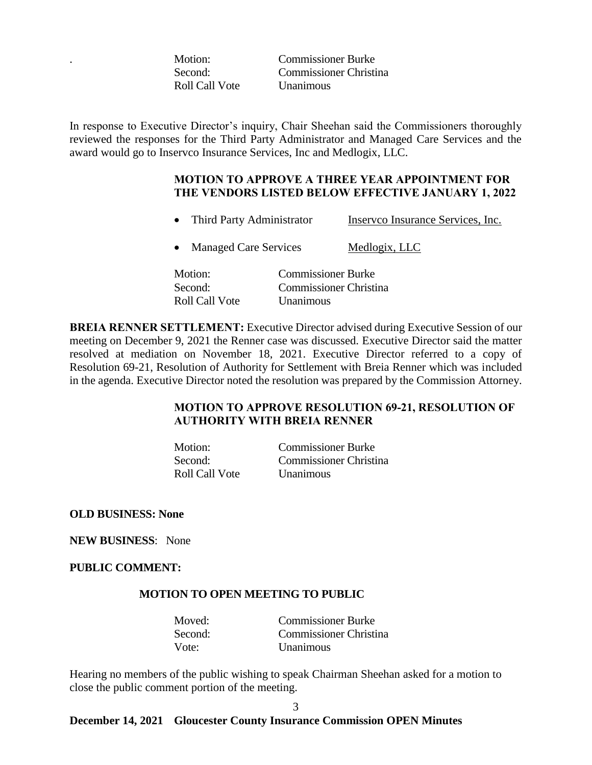Roll Call Vote Unanimous

. Motion: Commissioner Burke Second: Commissioner Christina

In response to Executive Director's inquiry, Chair Sheehan said the Commissioners thoroughly reviewed the responses for the Third Party Administrator and Managed Care Services and the award would go to Inservco Insurance Services, Inc and Medlogix, LLC.

### **MOTION TO APPROVE A THREE YEAR APPOINTMENT FOR THE VENDORS LISTED BELOW EFFECTIVE JANUARY 1, 2022**

- Third Party Administrator Inservco Insurance Services, Inc.
- Managed Care Services Medlogix, LLC
- Motion: Commissioner Burke Second: Commissioner Christina Roll Call Vote Unanimous

**BREIA RENNER SETTLEMENT:** Executive Director advised during Executive Session of our meeting on December 9, 2021 the Renner case was discussed. Executive Director said the matter resolved at mediation on November 18, 2021. Executive Director referred to a copy of Resolution 69-21, Resolution of Authority for Settlement with Breia Renner which was included in the agenda. Executive Director noted the resolution was prepared by the Commission Attorney.

# **MOTION TO APPROVE RESOLUTION 69-21, RESOLUTION OF AUTHORITY WITH BREIA RENNER**

| Motion:        | <b>Commissioner Burke</b> |
|----------------|---------------------------|
| Second:        | Commissioner Christina    |
| Roll Call Vote | <b>Unanimous</b>          |

**OLD BUSINESS: None**

**NEW BUSINESS**: None

**PUBLIC COMMENT:** 

### **MOTION TO OPEN MEETING TO PUBLIC**

| Moved:  | <b>Commissioner Burke</b> |
|---------|---------------------------|
| Second: | Commissioner Christina    |
| Vote:   | <b>Unanimous</b>          |

Hearing no members of the public wishing to speak Chairman Sheehan asked for a motion to close the public comment portion of the meeting.

# 3

#### **December 14, 2021 Gloucester County Insurance Commission OPEN Minutes**